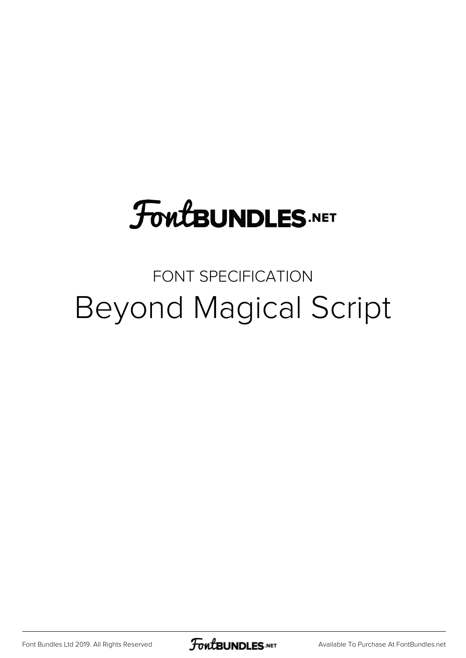# **FoutBUNDLES.NET**

### FONT SPECIFICATION Beyond Magical Script

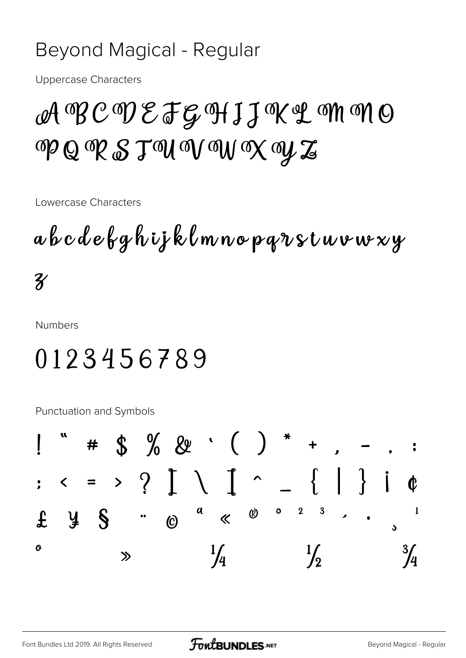#### Beyond Magical - Regular

**Uppercase Characters** 

# $\mathscr{A}$  of  $\mathscr{C}$  of  $\mathscr{E}$  of  $\mathscr{F}$  of  $\mathscr{F}$  of  $\mathscr{F}$  of  $\mathscr{A}$  on on  $\mathscr{O}$ OP Q OR S TOU OV OW OX OY Z

Lowercase Characters

abcdefghijklmnopqvstuvwxy  $\mathcal{X}$ 

**Numbers** 

## 0123456789

Punctuation and Symbols

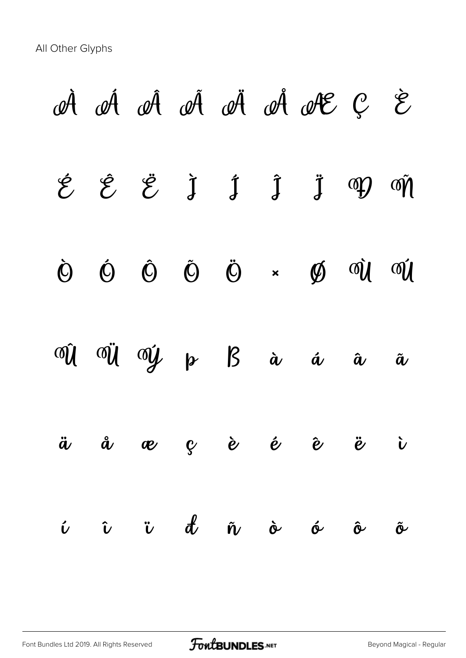All Other Glyphs